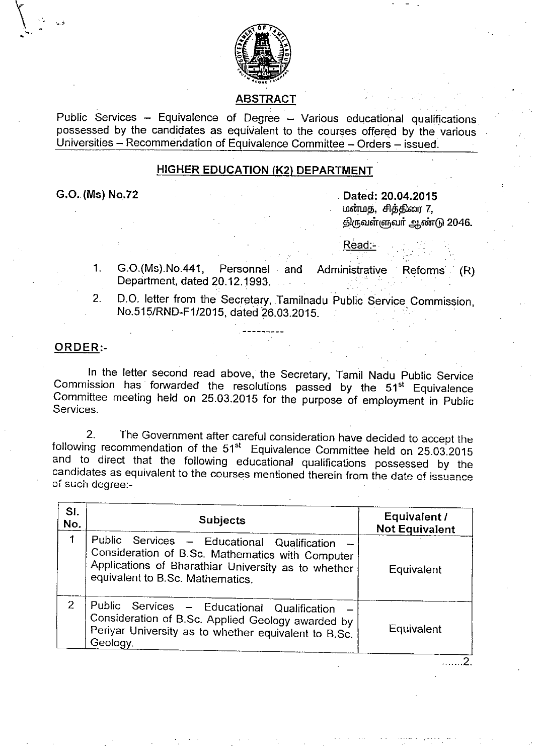

## ABSTRACT

Public Services - Equivalence of Degree - Various educational qualifications possessed by the candidates as equivalent to the courses offered by the various Universities - Recommendation of Equivalence Committee - Orders - issued.

## HIGHER EDUCATION (K2) DEPARTMENT

G.O. (Ms) No.72

~., •

> Dated: 20.04.2015 மன்மத, சித்திரை 7, திருவள்ளுவர் ஆண்டு 2046.

. Read:-

- 1. G.0.(Ms).No.441, Personnel and Administrative Reforms (R) Department, dated 20.12.1993.
- 2. D.O. letter from the Secretary, Tamilnadu Public Service Commission, No.515/RND-F1/2015, dated 26.03.2015.

## ORDER:-

In the letter second read above, the Secretary, Tamil Nadu Public Service Commission has forwarded the resolutions passed by the  $51<sup>st</sup>$  Equivalence Committee meeting held on 25.03.2015 for the purpose of employment in Public Services.

2. The Government after careful consideration have decided to accept the following recommendation of the 51<sup>st</sup> Equivalence Committee held on 25.03.2015 and to direct that the following educational qualifications possessed by the candidates as equivalent to the courses mentioned therein from the date of issuance of such degree:-

| SI.<br>No. | <b>Subjects</b>                                                                                                                                                                              | Equivalent /<br><b>Not Equivalent</b> |
|------------|----------------------------------------------------------------------------------------------------------------------------------------------------------------------------------------------|---------------------------------------|
| 1          | Public Services - Educational Qualification -<br>Consideration of B.Sc. Mathematics with Computer<br>Applications of Bharathiar University as to whether<br>equivalent to B.Sc. Mathematics. | Equivalent                            |
| 2          | Public Services - Educational Qualification<br>Consideration of B.Sc. Applied Geology awarded by<br>Periyar University as to whether equivalent to B.Sc.<br>Geology.                         | Equivalent                            |

. . . . . . 2.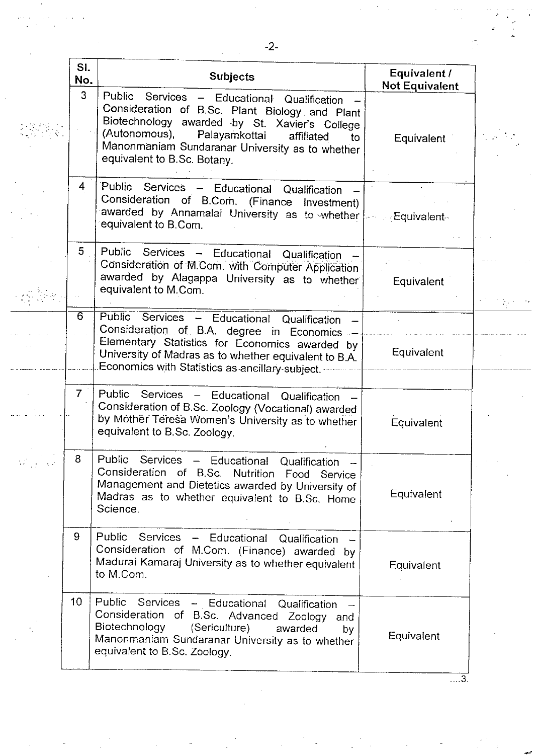|          | SI.<br>No.      | <b>Subjects</b>                                                                                                                                                                                                                                                                                   | Equivalent /<br><b>Not Equivalent</b> |  |
|----------|-----------------|---------------------------------------------------------------------------------------------------------------------------------------------------------------------------------------------------------------------------------------------------------------------------------------------------|---------------------------------------|--|
|          | 3               | Public Services - Educational Qualification<br>Consideration of B.Sc. Plant Biology and Plant<br>Biotechnology awarded by St. Xavier's College<br>(Autonomous),<br>Palayamkottai<br>affiliated<br>$\mathsf{to}$<br>Manonmaniam Sundaranar University as to whether<br>equivalent to B.Sc. Botany. | Equivalent                            |  |
|          | 4               | Public Services - Educational Qualification<br>Consideration of B.Com. (Finance Investment)<br>awarded by Annamalai University as to whether<br>equivalent to B.Com.                                                                                                                              | <sub>∶</sub> Equivalent⊹              |  |
|          | 5               | Public Services - Educational Qualification<br>Consideration of M.Com. with Computer Application<br>awarded by Alagappa University as to whether<br>equivalent to M.Com.                                                                                                                          | Equivalent                            |  |
|          | $\overline{6}$  | Public Services - Educational Qualification<br>Consideration of B.A. degree in Economics<br>Elementary Statistics for Economics awarded by<br>University of Madras as to whether equivalent to B.A.<br>Economics with Statistics as ancillary-subject.                                            | Equivalent                            |  |
|          | 7 <sup>1</sup>  | Public<br>Services - Educational Qualification<br>Consideration of B.Sc. Zoology (Vocational) awarded<br>by Mother Teresa Women's University as to whether<br>equivalent to B.Sc. Zoology.                                                                                                        | Equivalent                            |  |
| in an an | 8               | Public.<br><b>Services</b><br>- Educational Qualification -<br>Consideration of B.Sc. Nutrition Food Service<br>Management and Dietetics awarded by University of<br>Madras as to whether equivalent to B.Sc. Home<br>Science.                                                                    | Equivalent                            |  |
|          | 9               | Public Services - Educational Qualification -<br>Consideration of M.Com. (Finance) awarded by<br>Madurai Kamaraj University as to whether equivalent<br>to M.Com.                                                                                                                                 | Equivalent                            |  |
|          | 10 <sub>1</sub> | Public Services - Educational<br>Qualification<br>Consideration of B.Sc. Advanced Zoology and<br>Biotechnology<br>(Sericulture)<br>awarded<br>by<br>Manonmaniam Sundaranar University as to whether<br>equivalent to B.Sc. Zoology.                                                               | Equivalent                            |  |

 $\ddot{\phantom{1}}$ 

 $\ddot{\phantom{a}}$ 

المعالمين.<br>محمد الفرنسية

 $\overline{\ldots}$ 3.